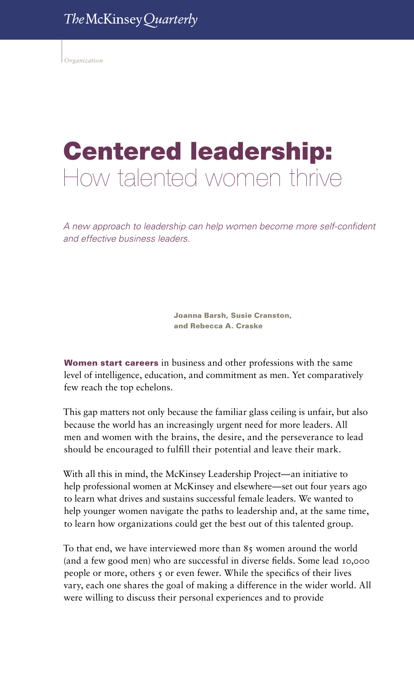### The McKinsey Quarterly

*Organization*

## Centered leadership: How talented women thrive

*A new approach to leadership can help women become more self-confident and effective business leaders.* 

 $\mathcal{O}(\mathcal{O}_\mathcal{A})$  and leadership  $\mathcal{O}_\mathcal{A}$  and leadership 355  $\mathcal{O}_\mathcal{A}$ 

Joanna Barsh, Susie Cranston, and Rebecca A. Craske

Women start careers in business and other professions with the same level of intelligence, education, and commitment as men. Yet comparatively few reach the top echelons.

This gap matters not only because the familiar glass ceiling is unfair, but also because the world has an increasingly urgent need for more leaders. All men and women with the brains, the desire, and the perseverance to lead should be encouraged to fulfill their potential and leave their mark.

With all this in mind, the McKinsey Leadership Project—an initiative to help professional women at McKinsey and elsewhere—set out four years ago to learn what drives and sustains successful female leaders. We wanted to help younger women navigate the paths to leadership and, at the same time, to learn how organizations could get the best out of this talented group.

To that end, we have interviewed more than 85 women around the world (and a few good men) who are successful in diverse fields. Some lead 10,000 people or more, others 5 or even fewer. While the specifics of their lives vary, each one shares the goal of making a difference in the wider world. All were willing to discuss their personal experiences and to provide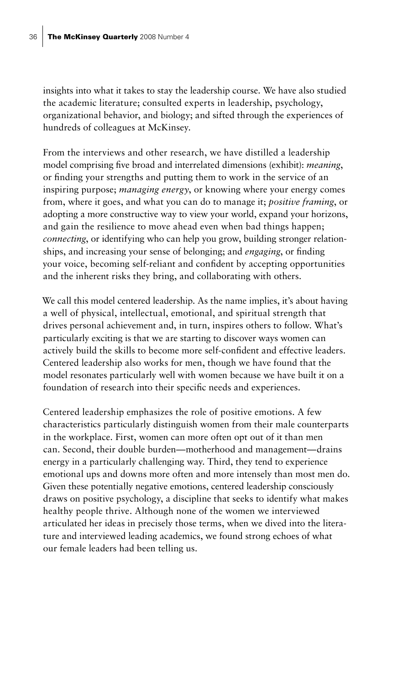insights into what it takes to stay the leadership course. We have also studied the academic literature; consulted experts in leadership, psychology, organizational behavior, and biology; and sifted through the experiences of hundreds of colleagues at McKinsey.

From the interviews and other research, we have distilled a leadership model comprising five broad and interrelated dimensions (exhibit): *meaning*, or finding your strengths and putting them to work in the service of an inspiring purpose; *managing energy*, or knowing where your energy comes from, where it goes, and what you can do to manage it; *positive framing*, or adopting a more constructive way to view your world, expand your horizons, and gain the resilience to move ahead even when bad things happen; *connecting*, or identifying who can help you grow, building stronger relationships, and increasing your sense of belonging; and *engaging*, or finding your voice, becoming self-reliant and confident by accepting opportunities and the inherent risks they bring, and collaborating with others.

We call this model centered leadership. As the name implies, it's about having a well of physical, intellectual, emotional, and spiritual strength that drives personal achievement and, in turn, inspires others to follow. What's particularly exciting is that we are starting to discover ways women can actively build the skills to become more self-confident and effective leaders. Centered leadership also works for men, though we have found that the model resonates particularly well with women because we have built it on a foundation of research into their specific needs and experiences.

Centered leadership emphasizes the role of positive emotions. A few characteristics particularly distinguish women from their male counterparts in the workplace. First, women can more often opt out of it than men can. Second, their double burden—motherhood and management—drains energy in a particularly challenging way. Third, they tend to experience emotional ups and downs more often and more intensely than most men do. Given these potentially negative emotions, centered leadership consciously draws on positive psychology, a discipline that seeks to identify what makes healthy people thrive. Although none of the women we interviewed articulated her ideas in precisely those terms, when we dived into the literature and interviewed leading academics, we found strong echoes of what our female leaders had been telling us.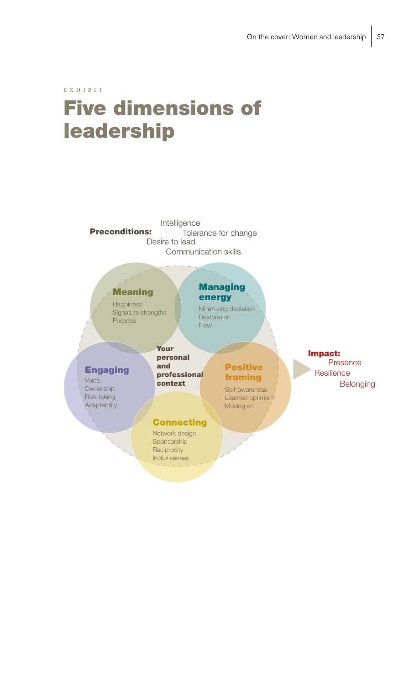e x h i b i t

## Five dimensions of leadership

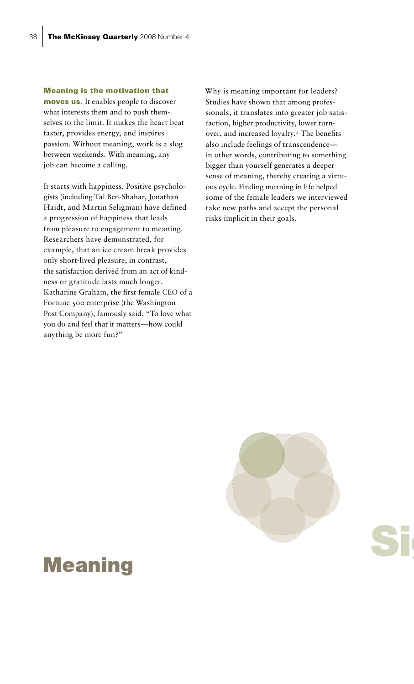### Meaning is the motivation that

moves us. It enables people to discover what interests them and to push themselves to the limit. It makes the heart beat faster, provides energy, and inspires passion. Without meaning, work is a slog between weekends. With meaning, any job can become a calling.

It starts with happiness. Positive psychologists (including Tal Ben-Shahar, Jonathan Haidt, and Martin Seligman) have defined a progression of happiness that leads from pleasure to engagement to meaning. Researchers have demonstrated, for example, that an ice cream break provides only short-lived pleasure; in contrast, the satisfaction derived from an act of kindness or gratitude lasts much longer. Katharine Graham, the first female CEO of a Fortune 500 enterprise (the Washington Post Company), famously said, "To love what you do and feel that it matters—how could anything be more fun?"

Why is meaning important for leaders? Studies have shown that among professionals, it translates into greater job satisfaction, higher productivity, lower turnover, and increased loyalty.<sup>1</sup> The benefits also include feelings of transcendence in other words, contributing to something bigger than yourself generates a deeper sense of meaning, thereby creating a virtuous cycle. Finding meaning in life helped some of the female leaders we interviewed take new paths and accept the personal risks implicit in their goals.



Sig

Meaning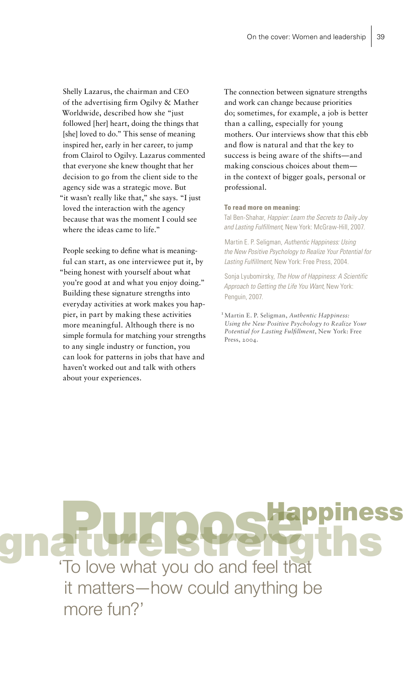Shelly Lazarus, the chairman and CEO of the advertising firm Ogilvy & Mather Worldwide, described how she "just followed [her] heart, doing the things that [she] loved to do." This sense of meaning inspired her, early in her career, to jump from Clairol to Ogilvy. Lazarus commented that everyone she knew thought that her decision to go from the client side to the agency side was a strategic move. But "it wasn't really like that," she says. "I just loved the interaction with the agency because that was the moment I could see where the ideas came to life."

People seeking to define what is meaningful can start, as one interviewee put it, by "being honest with yourself about what you're good at and what you enjoy doing." Building these signature strengths into everyday activities at work makes you happier, in part by making these activities more meaningful. Although there is no simple formula for matching your strengths to any single industry or function, you can look for patterns in jobs that have and haven't worked out and talk with others about your experiences.

The connection between signature strengths and work can change because priorities do; sometimes, for example, a job is better than a calling, especially for young mothers. Our interviews show that this ebb and flow is natural and that the key to success is being aware of the shifts—and making conscious choices about them in the context of bigger goals, personal or professional.

### **To read more on meaning:**

Tal Ben-Shahar, *Happier: Learn the Secrets to Daily Joy and Lasting Fulfillment*, New York: McGraw-Hill, 2007.

Martin E. P. Seligman, *Authentic Happiness: Using the New Positive Psychology to Realize Your Potential for Lasting Fulfillment*, New York: Free Press, 2004.

Sonja Lyubomirsky, *The How of Happiness: A Scientific Approach to Getting the Life You Want*, New York: Penguin, 2007.

1Martin E. P. Seligman, *Authentic Happiness: Using the New Positive Psychology to Realize Your Potential for Lasting Fulfillment*, New York: Free Press, 2004.

gnature strengths 'To love what you do and feel that it matters—how could anything be more fun?' Pure Bee Stappiness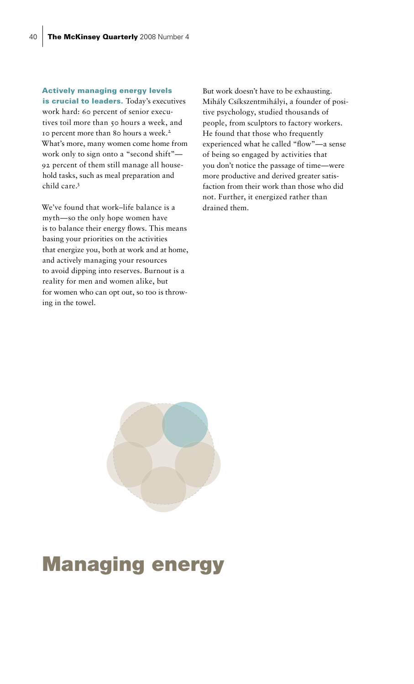### Actively managing energy levels

is crucial to leaders. Today's executives work hard: 60 percent of senior executives toil more than 50 hours a week, and 10 percent more than 80 hours a week.<sup>2</sup> What's more, many women come home from work only to sign onto a "second shift"— 92 percent of them still manage all household tasks, such as meal preparation and child care.3

We've found that work–life balance is a myth—so the only hope women have is to balance their energy flows. This means basing your priorities on the activities that energize you, both at work and at home, and actively managing your resources to avoid dipping into reserves. Burnout is a reality for men and women alike, but for women who can opt out, so too is throwing in the towel.

But work doesn't have to be exhausting. Mihály Csíkszentmihályi, a founder of positive psychology, studied thousands of people, from sculptors to factory workers. He found that those who frequently experienced what he called "flow"—a sense of being so engaged by activities that you don't notice the passage of time—were more productive and derived greater satisfaction from their work than those who did not. Further, it energized rather than drained them.



## Managing energy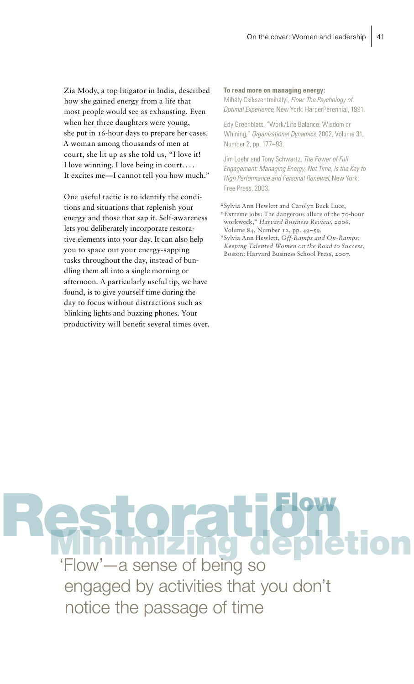Zia Mody, a top litigator in India, described how she gained energy from a life that most people would see as exhausting. Even when her three daughters were young, she put in 16-hour days to prepare her cases. A woman among thousands of men at court, she lit up as she told us, "I love it! I love winning. I love being in court. . . . It excites me—I cannot tell you how much."

One useful tactic is to identify the conditions and situations that replenish your energy and those that sap it. Self-awareness lets you deliberately incorporate restorative elements into your day. It can also help you to space out your energy-sapping tasks throughout the day, instead of bundling them all into a single morning or afternoon. A particularly useful tip, we have found, is to give yourself time during the day to focus without distractions such as blinking lights and buzzing phones. Your productivity will benefit several times over.

### **To read more on managing energy:**

Mihály Csíkszentmihályi, *Flow: The Psychology of Optimal Experience*, New York: HarperPerennial, 1991.

Edy Greenblatt, "Work/Life Balance: Wisdom or Whining," *Organizational Dynamics*, 2002, Volume 31, Number 2, pp. 177–93.

Jim Loehr and Tony Schwartz, *The Power of Full Engagement: Managing Energy, Not Time, Is the Key to High Performance and Personal Renewal*, New York: Free Press, 2003.

<sup>2</sup> Sylvia Ann Hewlett and Carolyn Buck Luce, "Extreme jobs: The dangerous allure of the 70-hour workweek," *Harvard Business Review*, 2006, Volume 84, Number 12, pp. 49–59.

3Sylvia Ann Hewlett, *Off-Ramps and On-Ramps: Keeping Talented Women on the Road to Success*, Boston: Harvard Business School Press, 2007.

## 'Flow'—a sense of being so engaged by activities that you don't notice the passage of time Restoration!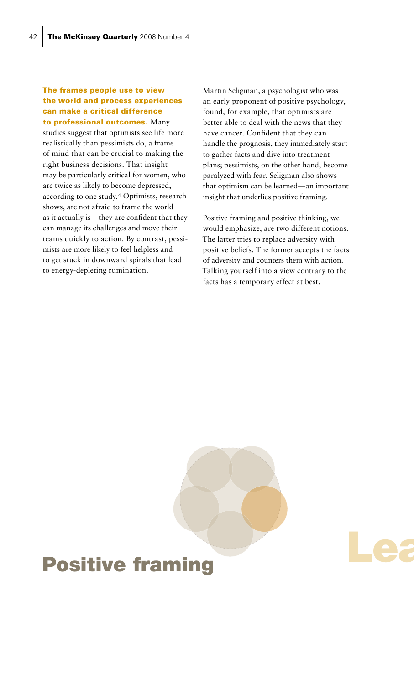### The frames people use to view the world and process experiences can make a critical difference to professional outcomes. Many

studies suggest that optimists see life more realistically than pessimists do, a frame of mind that can be crucial to making the right business decisions. That insight may be particularly critical for women, who are twice as likely to become depressed, according to one study.4 Optimists, research shows, are not afraid to frame the world as it actually is—they are confident that they can manage its challenges and move their teams quickly to action. By contrast, pessimists are more likely to feel helpless and to get stuck in downward spirals that lead to energy-depleting rumination.  $\mathbf{F}$ ive dimensions of  $\mathbf{F}$ 

Martin Seligman, a psychologist who was an early proponent of positive psychology, found, for example, that optimists are better able to deal with the news that they have cancer. Confident that they can handle the prognosis, they immediately start to gather facts and dive into treatment plans; pessimists, on the other hand, become paralyzed with fear. Seligman also shows that optimism can be learned—an important insight that underlies positive framing.

Positive framing and positive thinking, we would emphasize, are two different notions. The latter tries to replace adversity with positive beliefs. The former accepts the facts of adversity and counters them with action. Talking yourself into a view contrary to the facts has a temporary effect at best.

# Positive framing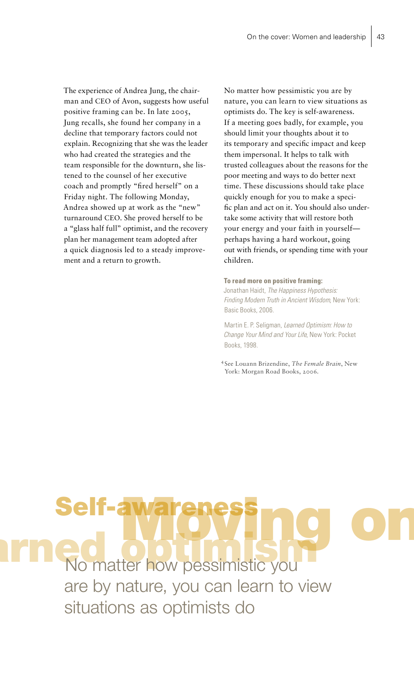The experience of Andrea Jung, the chairman and CEO of Avon, suggests how useful positive framing can be. In late 2005, Jung recalls, she found her company in a decline that temporary factors could not explain. Recognizing that she was the leader who had created the strategies and the team responsible for the downturn, she listened to the counsel of her executive coach and promptly "fired herself" on a Friday night. The following Monday, Andrea showed up at work as the "new" turnaround CEO. She proved herself to be a "glass half full" optimist, and the recovery plan her management team adopted after a quick diagnosis led to a steady improvement and a return to growth.

No matter how pessimistic you are by nature, you can learn to view situations as optimists do. The key is self-awareness. If a meeting goes badly, for example, you should limit your thoughts about it to its temporary and specific impact and keep them impersonal. It helps to talk with trusted colleagues about the reasons for the poor meeting and ways to do better next time. These discussions should take place quickly enough for you to make a specific plan and act on it. You should also undertake some activity that will restore both your energy and your faith in yourself perhaps having a hard workout, going out with friends, or spending time with your children.

#### **To read more on positive framing:**

Jonathan Haidt, *The Happiness Hypothesis: Finding Modern Truth in Ancient Wisdom*, New York: Basic Books, 2006.

Martin E. P. Seligman, *Learned Optimism: How to Change Your Mind and Your Life*, New York: Pocket Books, 1998.

4See Louann Brizendine, *The Female Brain*, New York: Morgan Road Books, 2006.

No matter how pessimistic you are by nature, you can learn to view situations as optimists do Self-awareness<br>Additional On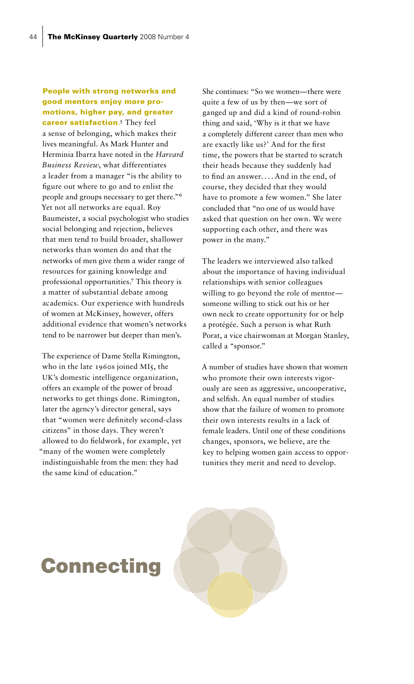### People with strong networks and good mentors enjoy more promotions, higher pay, and greater career satisfaction.<sup>5</sup> They feel

a sense of belonging, which makes their lives meaningful. As Mark Hunter and Herminia Ibarra have noted in the *Harvard Business Review*, what differentiates a leader from a manager "is the ability to figure out where to go and to enlist the people and groups necessary to get there."6 Yet not all networks are equal. Roy Baumeister, a social psychologist who studies social belonging and rejection, believes that men tend to build broader, shallower networks than women do and that the networks of men give them a wider range of resources for gaining knowledge and professional opportunities.7 This theory is a matter of substantial debate among academics. Our experience with hundreds of women at McKinsey, however, offers additional evidence that women's networks tend to be narrower but deeper than men's.

The experience of Dame Stella Rimington, who in the late 1960s joined MI5, the UK's domestic intelligence organization, offers an example of the power of broad networks to get things done. Rimington, later the agency's director general, says that "women were definitely second-class citizens" in those days. They weren't allowed to do fieldwork, for example, yet "many of the women were completely indistinguishable from the men: they had the same kind of education."

She continues: "So we women—there were quite a few of us by then—we sort of ganged up and did a kind of round-robin thing and said, 'Why is it that we have a completely different career than men who are exactly like us?' And for the first time, the powers that be started to scratch their heads because they suddenly had to find an answer. . . . And in the end, of course, they decided that they would have to promote a few women." She later concluded that "no one of us would have asked that question on her own. We were supporting each other, and there was power in the many."

The leaders we interviewed also talked about the importance of having individual relationships with senior colleagues willing to go beyond the role of mentor someone willing to stick out his or her own neck to create opportunity for or help a protégée. Such a person is what Ruth Porat, a vice chairwoman at Morgan Stanley, called a "sponsor."

A number of studies have shown that women who promote their own interests vigorously are seen as aggressive, uncooperative, and selfish. An equal number of studies show that the failure of women to promote their own interests results in a lack of female leaders. Until one of these conditions changes, sponsors, we believe, are the key to helping women gain access to opportunities they merit and need to develop.

## Connecting

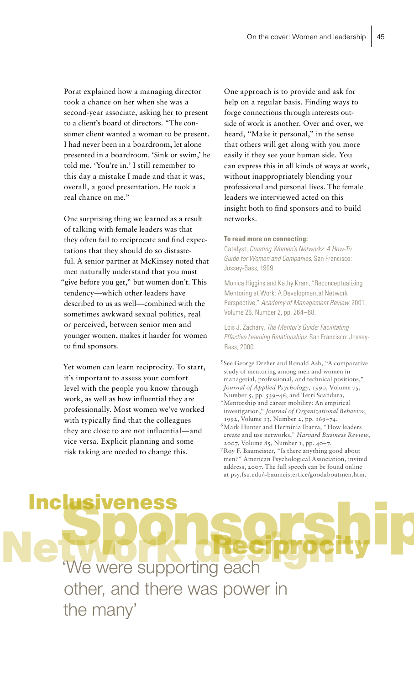Porat explained how a managing director took a chance on her when she was a second-year associate, asking her to present to a client's board of directors. "The consumer client wanted a woman to be present. I had never been in a boardroom, let alone presented in a boardroom. 'Sink or swim,' he told me. 'You're in.' I still remember to this day a mistake I made and that it was, overall, a good presentation. He took a real chance on me."

One surprising thing we learned as a result of talking with female leaders was that they often fail to reciprocate and find expectations that they should do so distasteful. A senior partner at McKinsey noted that men naturally understand that you must "give before you get," but women don't. This tendency—which other leaders have described to us as well—combined with the sometimes awkward sexual politics, real or perceived, between senior men and younger women, makes it harder for women to find sponsors.

Yet women can learn reciprocity. To start, it's important to assess your comfort level with the people you know through work, as well as how influential they are professionally. Most women we've worked with typically find that the colleagues they are close to are not influential—and vice versa. Explicit planning and some risk taking are needed to change this.

One approach is to provide and ask for help on a regular basis. Finding ways to forge connections through interests outside of work is another. Over and over, we heard, "Make it personal," in the sense that others will get along with you more easily if they see your human side. You can express this in all kinds of ways at work, without inappropriately blending your professional and personal lives. The female leaders we interviewed acted on this insight both to find sponsors and to build networks.

### **To read more on connecting:**

Catalyst, *Creating Women's Networks: A How-To Guide for Women and Companies*, San Francisco: Jossey-Bass, 1999.

Monica Higgins and Kathy Kram, "Reconceptualizing Mentoring at Work: A Developmental Network Perspective," *Academy of Management Review*, 2001, Volume 26, Number 2, pp. 264–68.

Lois J. Zachary, *The Mentor's Guide: Facilitating Effective Learning Relationships*, San Francisco: Jossey-Bass, 2000.

- 5See George Dreher and Ronald Ash, "A comparative study of mentoring among men and women in managerial, professional, and technical positions," *Journal of Applied Psychology*, 1990, Volume 75, Number 5, pp. 539–46; and Terri Scandura,
- "Mentorship and career mobility: An empirical investigation," *Journal of Organizational Behavior*, 1992, Volume 13, Number 2, pp. 169–74.
- 6Mark Hunter and Herminia Ibarra, "How leaders create and use networks," *Harvard Business Review*, 2007, Volume 85, Number 1, pp. 40–7.
- 7Roy F. Baumeister, "Is there anything good about men?" American Psychological Association, invited address, 2007. The full speech can be found online at psy.fsu.edu/~baumeistertice/goodaboutmen.htm.

Inclusiveness<br>Network supporting each **Reciprocity** 'We were supporting each other, and there was power in the many'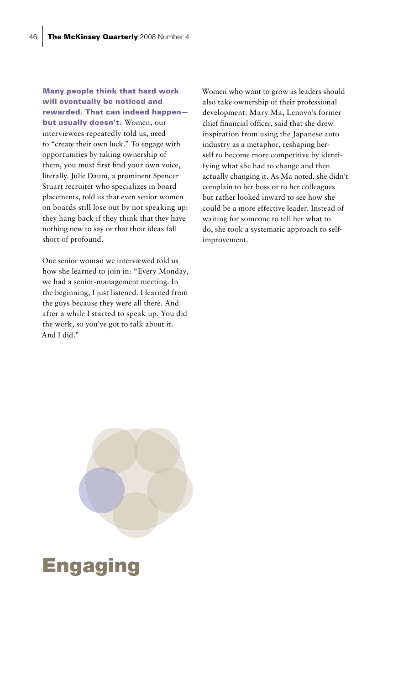Many people think that hard work will eventually be noticed and rewarded. That can indeed happen but usually doesn't. Women, our interviewees repeatedly told us, need to "create their own luck." To engage with opportunities by taking ownership of them, you must first find your own voice, literally. Julie Daum, a prominent Spencer Stuart recruiter who specializes in board placements, told us that even senior women on boards still lose out by not speaking up: they hang back if they think that they have nothing new to say or that their ideas fall short of profound.

One senior woman we interviewed told us how she learned to join in: "Every Monday, we had a senior-management meeting. In the beginning, I just listened. I learned from the guys because they were all there. And after a while I started to speak up. You did the work, so you've got to talk about it. And I did."

Women who want to grow as leaders should also take ownership of their professional development. Mary Ma, Lenovo's former chief financial officer, said that she drew inspiration from using the Japanese auto industry as a metaphor, reshaping herself to become more competitive by identifying what she had to change and then actually changing it. As Ma noted, she didn't complain to her boss or to her colleagues but rather looked inward to see how she could be a more effective leader. Instead of waiting for someone to tell her what to do, she took a systematic approach to selfimprovement.



## **Engaging**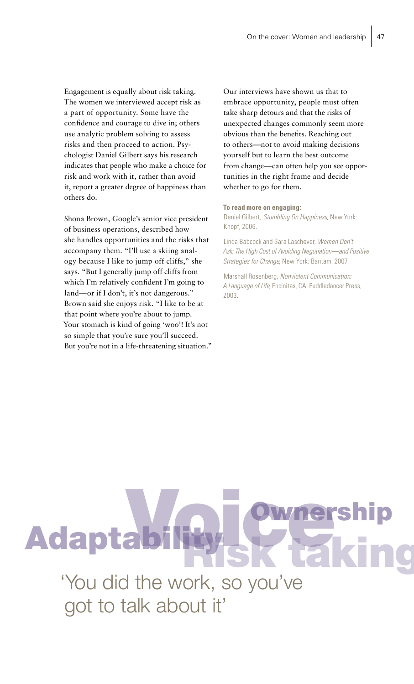Engagement is equally about risk taking. The women we interviewed accept risk as a part of opportunity. Some have the confidence and courage to dive in; others use analytic problem solving to assess risks and then proceed to action. Psychologist Daniel Gilbert says his research indicates that people who make a choice for risk and work with it, rather than avoid it, report a greater degree of happiness than others do.

Shona Brown, Google's senior vice president of business operations, described how she handles opportunities and the risks that accompany them. "I'll use a skiing analogy because I like to jump off cliffs," she says. "But I generally jump off cliffs from which I'm relatively confident I'm going to land—or if I don't, it's not dangerous." Brown said she enjoys risk. "I like to be at that point where you're about to jump. Your stomach is kind of going 'woo'! It's not so simple that you're sure you'll succeed. But you're not in a life-threatening situation." Our interviews have shown us that to embrace opportunity, people must often take sharp detours and that the risks of unexpected changes commonly seem more obvious than the benefits. Reaching out to others—not to avoid making decisions yourself but to learn the best outcome from change—can often help you see opportunities in the right frame and decide whether to go for them.

### **To read more on engaging:**

Daniel Gilbert, *Stumbling On Happiness*, New York: Knopf, 2006.

Linda Babcock and Sara Laschever, *Women Don't Ask: The High Cost of Avoiding Negotiation—and Positive Strategies for Change*, New York: Bantam, 2007.

Marshall Rosenberg, *Nonviolent Communication: A Language of Life*, Encinitas, CA: Puddledancer Press, 2003.

## ability Skitching **Ownership** Adapta 'You did the work, so you've got to talk about it'